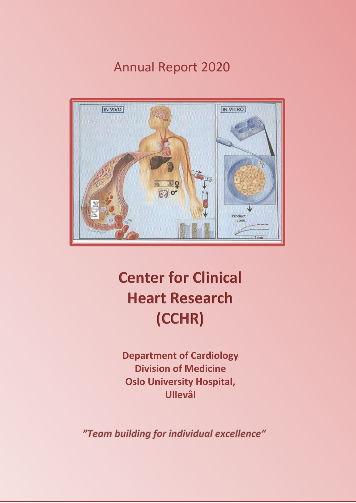Annual Report 2020



# **Center for Clinical Heart Research (CCHR)**

**Department of Cardiology Division of Medicine Oslo University Hospital, Ullevål**

"Team building for individual excellence"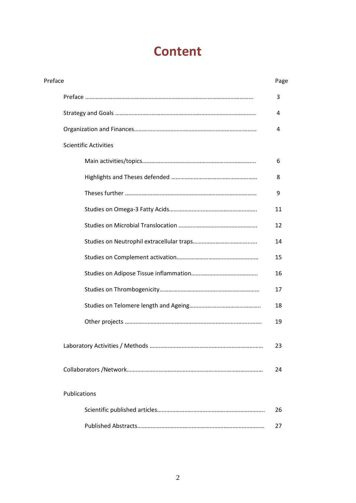# **Content**

| Preface |                              | Page |
|---------|------------------------------|------|
|         |                              | 3    |
|         |                              | 4    |
|         |                              | 4    |
|         | <b>Scientific Activities</b> |      |
|         |                              | 6    |
|         |                              | 8    |
|         |                              | 9    |
|         |                              | 11   |
|         |                              | 12   |
|         |                              | 14   |
|         |                              | 15   |
|         |                              | 16   |
|         |                              | 17   |
|         |                              | 18   |
|         |                              | 19   |
|         |                              | 23   |
|         |                              | 24   |
|         | Publications                 |      |
|         |                              | 26   |
|         |                              | 27   |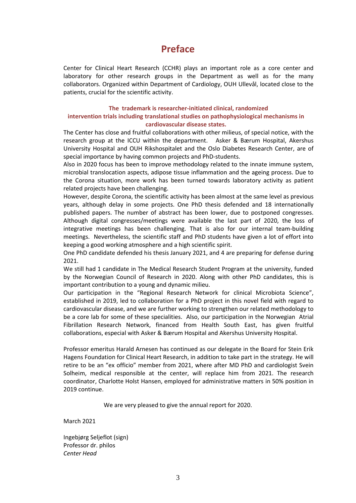## **Preface**

Center for Clinical Heart Research (CCHR) plays an important role as a core center and laboratory for other research groups in the Department as well as for the many collaborators. Organized within Department of Cardiology, OUH Ullevål, located close to the patients, crucial for the scientific activity.

#### **The trademark is researcher-initiated clinical, randomized**

#### **intervention trials including translational studies on pathophysiological mechanisms in cardiovascular disease states.**

The Center has close and fruitful collaborations with other milieus, of special notice, with the research group at the ICCU within the department. Asker & Bærum Hospital, Akershus University Hospital and OUH Rikshospitalet and the Oslo Diabetes Research Center, are of special importance by having common projects and PhD-students.

Also in 2020 focus has been to improve methodology related to the innate immune system, microbial translocation aspects, adipose tissue inflammation and the ageing process. Due to the Corona situation, more work has been turned towards laboratory activity as patient related projects have been challenging.

However, despite Corona, the scientific activity has been almost at the same level as previous years, although delay in some projects. One PhD thesis defended and 18 internationally published papers. The number of abstract has been lower, due to postponed congresses. Although digital congresses/meetings were available the last part of 2020, the loss of integrative meetings has been challenging. That is also for our internal team-building meetings. Nevertheless, the scientific staff and PhD students have given a lot of effort into keeping a good working atmosphere and a high scientific spirit.

One PhD candidate defended his thesis January 2021, and 4 are preparing for defense during 2021.

We still had 1 candidate in The Medical Research Student Program at the university, funded by the Norwegian Council of Research in 2020. Along with other PhD candidates, this is important contribution to a young and dynamic milieu.

Our participation in the "Regional Research Network for clinical Microbiota Science", established in 2019, led to collaboration for a PhD project in this novel field with regard to cardiovascular disease, and we are further working to strengthen our related methodology to be a core lab for some of these specialities. Also, our participation in the Norwegian Atrial Fibrillation Research Network, financed from Health South East, has given fruitful collaborations, especial with Asker & Bærum Hospital and Akershus University Hospital.

Professor emeritus Harald Arnesen has continued as our delegate in the Board for Stein Erik Hagens Foundation for Clinical Heart Research, in addition to take part in the strategy. He will retire to be an "ex officio" member from 2021, where after MD PhD and cardiologist Svein Solheim, medical responsible at the center, will replace him from 2021. The research coordinator, Charlotte Holst Hansen, employed for administrative matters in 50% position in 2019 continue.

We are very pleased to give the annual report for 2020.

March 2021

Ingebjørg Seljeflot (sign) Professor dr. philos *Center Head*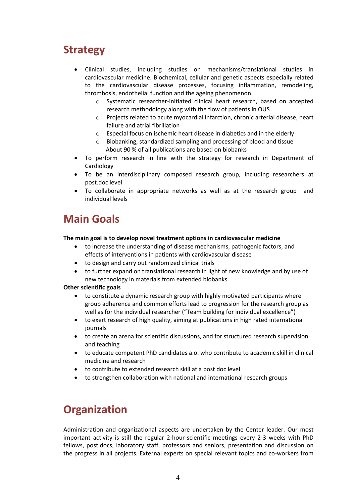## **Strategy**

- Clinical studies, including studies on mechanisms/translational studies in cardiovascular medicine. Biochemical, cellular and genetic aspects especially related to the cardiovascular disease processes, focusing inflammation, remodeling, thrombosis, endothelial function and the ageing phenomenon.
	- o Systematic researcher-initiated clinical heart research, based on accepted research methodology along with the flow of patients in OUS
	- $\circ$  Projects related to acute myocardial infarction, chronic arterial disease, heart failure and atrial fibrillation
	- o Especial focus on ischemic heart disease in diabetics and in the elderly
	- o Biobanking, standardized sampling and processing of blood and tissue About 90 % of all publications are based on biobanks
- To perform research in line with the strategy for research in Department of Cardiology
- To be an interdisciplinary composed research group, including researchers at post.doc level
- To collaborate in appropriate networks as well as at the research group and individual levels

## **Main Goals**

#### **The main goal is to develop novel treatment options in cardiovascular medicine**

- to increase the understanding of disease mechanisms, pathogenic factors, and effects of interventions in patients with cardiovascular disease
- to design and carry out randomized clinical trials
- to further expand on translational research in light of new knowledge and by use of new technology in materials from extended biobanks

#### **Other scientific goals**

- to constitute a dynamic research group with highly motivated participants where group adherence and common efforts lead to progression for the research group as well as for the individual researcher ("Team building for individual excellence")
- to exert research of high quality, aiming at publications in high rated international journals
- to create an arena for scientific discussions, and for structured research supervision and teaching
- to educate competent PhD candidates a.o. who contribute to academic skill in clinical medicine and research
- to contribute to extended research skill at a post doc level
- to strengthen collaboration with national and international research groups

## **Organization**

Administration and organizational aspects are undertaken by the Center leader. Our most important activity is still the regular 2-hour-scientific meetings every 2-3 weeks with PhD fellows, post.docs, laboratory staff, professors and seniors, presentation and discussion on the progress in all projects. External experts on special relevant topics and co-workers from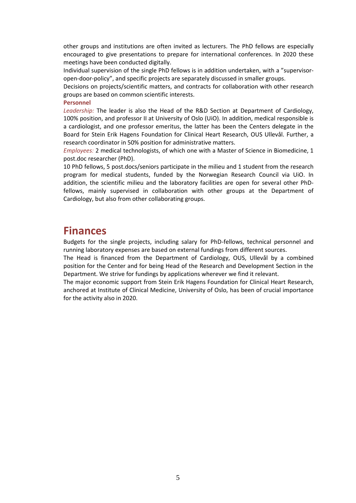other groups and institutions are often invited as lecturers. The PhD fellows are especially encouraged to give presentations to prepare for international conferences. In 2020 these meetings have been conducted digitally.

Individual supervision of the single PhD fellows is in addition undertaken, with a "supervisoropen-door-policy", and specific projects are separately discussed in smaller groups.

Decisions on projects/scientific matters, and contracts for collaboration with other research groups are based on common scientific interests.

**Personnel**

*Leadership:* The leader is also the Head of the R&D Section at Department of Cardiology, 100% position, and professor II at University of Oslo (UiO). In addition, medical responsible is a cardiologist, and one professor emeritus, the latter has been the Centers delegate in the Board for Stein Erik Hagens Foundation for Clinical Heart Research, OUS Ullevål. Further, a research coordinator in 50% position for administrative matters.

*Employees:* 2 medical technologists, of which one with a Master of Science in Biomedicine, 1 post.doc researcher (PhD).

10 PhD fellows, 5 post.docs/seniors participate in the milieu and 1 student from the research program for medical students, funded by the Norwegian Research Council via UiO. In addition, the scientific milieu and the laboratory facilities are open for several other PhDfellows, mainly supervised in collaboration with other groups at the Department of Cardiology, but also from other collaborating groups.

## **Finances**

Budgets for the single projects, including salary for PhD-fellows, technical personnel and running laboratory expenses are based on external fundings from different sources.

The Head is financed from the Department of Cardiology, OUS, Ullevål by a combined position for the Center and for being Head of the Research and Development Section in the Department. We strive for fundings by applications wherever we find it relevant.

The major economic support from Stein Erik Hagens Foundation for Clinical Heart Research, anchored at Institute of Clinical Medicine, University of Oslo, has been of crucial importance for the activity also in 2020.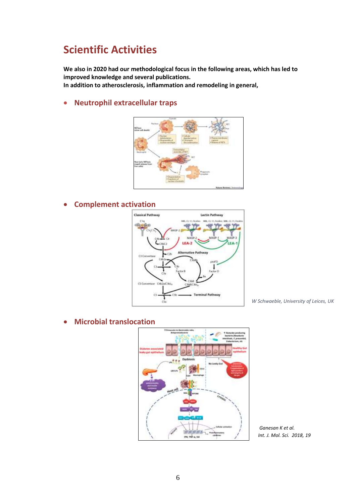## **Scientific Activities**

**We also in 2020 had our methodological focus in the following areas, which has led to improved knowledge and several publications.** 

**In addition to atherosclerosis, inflammation and remodeling in general,**

**Neutrophil extracellular traps**



**Complement act[ivation](https://www.google.no/url?sa=i&url=https://shms.sa/authoring/19866-the-complement-system/view&psig=AOvVaw2R5eESscS90wyUwsQAl0i3&ust=1583764605106000&source=images&cd=vfe&ved=0CAIQjRxqFwoTCODOgpKNi-gCFQAAAAAdAAAAABA4)**



*W Schwaeble, University of Leices, UK*

**Microbial translocation**



*Ganesan K et al. Int. J. Mol. Sci. 2018, 19*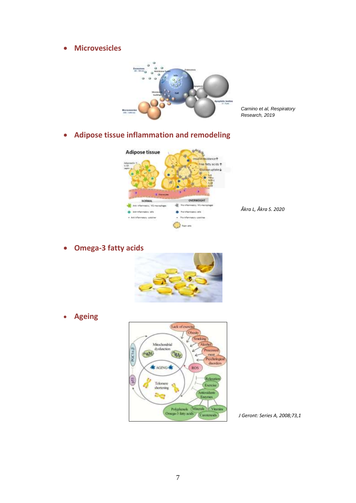**Microvesicles**



*Carnino et al, Respiratory Research, 2019*

**Adipose tissue inflammation and remodeling**



*Åkra L, Åkra S. 2020*

**Omega-3 fatty acids**



**Ageing**



*[J Geront:](https://doi.org/10.1093/gerona/glx082) Series A, 2008;73,1*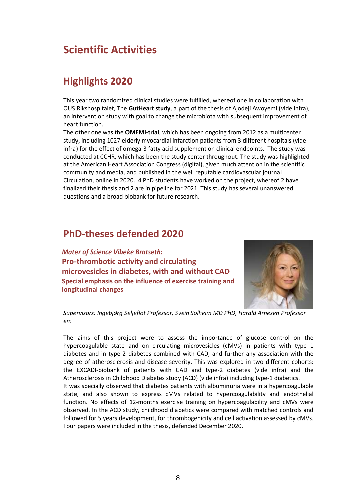## **Scientific Activities**

## **Highlights 2020**

This year two randomized clinical studies were fulfilled, whereof one in collaboration with OUS Rikshospitalet, The **GutHeart study**, a part of the thesis of Ajodeji Awoyemi (vide infra), an intervention study with goal to change the microbiota with subsequent improvement of heart function.

The other one was the **OMEMI-trial**, which has been ongoing from 2012 as a multicenter study, including 1027 elderly myocardial infarction patients from 3 different hospitals (vide infra) for the effect of omega-3 fatty acid supplement on clinical endpoints. The study was conducted at CCHR, which has been the study center throughout. The study was highlighted at the American Heart Association Congress (digital), given much attention in the scientific community and media, and published in the well reputable cardiovascular journal Circulation, online in 2020. 4 PhD students have worked on the project, whereof 2 have finalized their thesis and 2 are in pipeline for 2021. This study has several unanswered questions and a broad biobank for future research.

## **PhD-theses defended 2020**

*Mater of Science Vibeke Bratseth:*  **Pro-thrombotic activity and circulating microvesicles in diabetes, with and without CAD Special emphasis on the influence of exercise training and longitudinal changes**



*Supervisors: Ingebjørg Seljeflot Professor, Svein Solheim MD PhD, Harald Arnesen Professor em*

The aims of this project were to assess the importance of glucose control on the hypercoagulable state and on circulating microvesicles (cMVs) in patients with type 1 diabetes and in type-2 diabetes combined with CAD, and further any association with the degree of atherosclerosis and disease severity. This was explored in two different cohorts: the EXCADI-biobank of patients with CAD and type-2 diabetes (vide infra) and the Atherosclerosis in Childhood Diabetes study (ACD) (vide infra) including type-1 diabetics.

It was specially observed that diabetes patients with albuminuria were in a hypercoagulable state, and also shown to express cMVs related to hypercoagulability and endothelial function. No effects of 12-months exercise training on hypercoagulability and cMVs were observed. In the ACD study, childhood diabetics were compared with matched controls and followed for 5 years development, for thrombogenicity and cell activation assessed by cMVs. Four papers were included in the thesis, defended December 2020.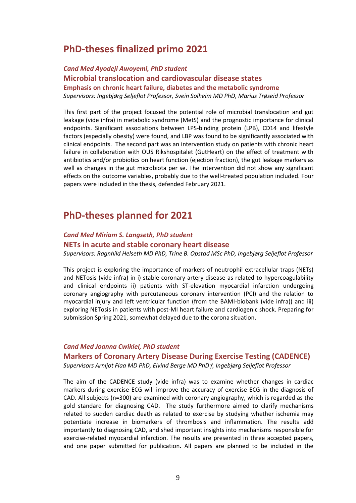## **PhD-theses finalized primo 2021**

*Cand Med Ayodeji Awoyemi, PhD student* **Microbial translocation and cardiovascular disease states Emphasis on chronic heart failure, diabetes and the metabolic syndrome** *Supervisors: Ingebjørg Seljeflot Professor, Svein Solheim MD PhD, Marius Trøseid Professor*

This first part of the project focused the potential role of microbial translocation and gut leakage (vide infra) in metabolic syndrome (MetS) and the prognostic importance for clinical endpoints. Significant associations between LPS-binding protein (LPB), CD14 and lifestyle factors (especially obesity) were found, and LBP was found to be significantly associated with clinical endpoints. The second part was an intervention study on patients with chronic heart failure in collaboration with OUS Rikshospitalet (GutHeart) on the effect of treatment with antibiotics and/or probiotics on heart function (ejection fraction), the gut leakage markers as well as changes in the gut microbiota per se. The intervention did not show any significant effects on the outcome variables, probably due to the well-treated population included. Four papers were included in the thesis, defended February 2021.

## **PhD-theses planned for 2021**

### *Cand Med Miriam S. Langseth, PhD student* **NETs in acute and stable coronary heart disease**

*Supervisors: Ragnhild Helseth MD PhD, Trine B. Opstad MSc PhD, Ingebjørg Seljeflot Professor*

This project is exploring the importance of markers of neutrophil extracellular traps (NETs) and NETosis (vide infra) in i) stable coronary artery disease as related to hypercoagulability and clinical endpoints ii) patients with ST-elevation myocardial infarction undergoing coronary angiography with percutaneous coronary intervention (PCI) and the relation to myocardial injury and left ventricular function (from the BAMI-biobank (vide infra)) and iii) exploring NETosis in patients with post-MI heart failure and cardiogenic shock. Preparing for submission Spring 2021, somewhat delayed due to the corona situation.

#### *Cand Med Joanna Cwikiel, PhD student*

#### **Markers of Coronary Artery Disease During Exercise Testing (CADENCE)**

*Supervisors Arnljot Flaa MD PhD, Eivind Berge MD PhD*†*, Ingebjørg Seljeflot Professor*

The aim of the CADENCE study (vide infra) was to examine whether changes in cardiac markers during exercise ECG will improve the accuracy of exercise ECG in the diagnosis of CAD. All subjects (n=300) are examined with coronary angiography, which is regarded as the gold standard for diagnosing CAD. The study furthermore aimed to clarify mechanisms related to sudden cardiac death as related to exercise by studying whether ischemia may potentiate increase in biomarkers of thrombosis and inflammation. The results add importantly to diagnosing CAD, and shed important insights into mechanisms responsible for exercise-related myocardial infarction. The results are presented in three accepted papers, and one paper submitted for publication. All papers are planned to be included in the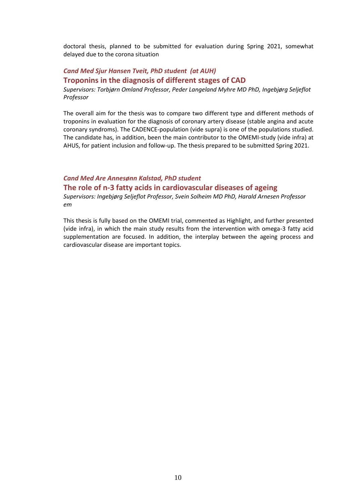doctoral thesis, planned to be submitted for evaluation during Spring 2021, somewhat delayed due to the corona situation

### *Cand Med Sjur Hansen Tveit, PhD student (at AUH)* **Troponins in the diagnosis of different stages of CAD**

*Supervisors: Torbjørn Omland Professor, Peder Langeland Myhre MD PhD, Ingebjørg Seljeflot Professor* 

The overall aim for the thesis was to compare two different type and different methods of troponins in evaluation for the diagnosis of coronary artery disease (stable angina and acute coronary syndroms). The CADENCE-population (vide supra) is one of the populations studied. The candidate has, in addition, been the main contributor to the OMEMI-study (vide infra) at AHUS, for patient inclusion and follow-up. The thesis prepared to be submitted Spring 2021.

### *Cand Med Are Annesønn Kalstad, PhD student* **The role of n-3 fatty acids in cardiovascular diseases of ageing**

*Supervisors: Ingebjørg Seljeflot Professor, Svein Solheim MD PhD, Harald Arnesen Professor em*

This thesis is fully based on the OMEMI trial, commented as Highlight, and further presented (vide infra), in which the main study results from the intervention with omega-3 fatty acid supplementation are focused. In addition, the interplay between the ageing process and cardiovascular disease are important topics.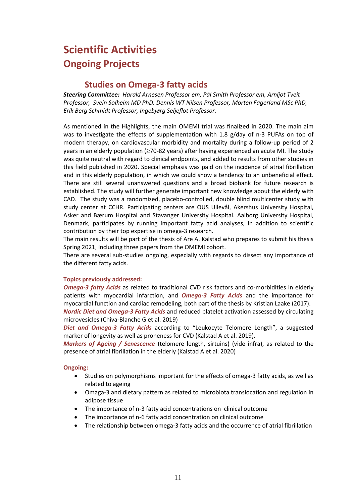## **Scientific Activities Ongoing Projects**

### **Studies on Omega-3 fatty acids**

*Steering Committee: Harald Arnesen Professor em, Pål Smith Professor em, Arnljot Tveit Professor, Svein Solheim MD PhD, Dennis WT Nilsen Professor, Morten Fagerland MSc PhD, Erik Berg Schmidt Professor, Ingebjørg Seljeflot Professor.*

As mentioned in the Highlights, the main OMEMI trial was finalized in 2020. The main aim was to investigate the effects of supplementation with 1.8 g/day of n-3 PUFAs on top of modern therapy, on cardiovascular morbidity and mortality during a follow-up period of 2 years in an elderly population ( $\geq$ 70-82 years) after having experienced an acute MI. The study was quite neutral with regard to clinical endpoints, and added to results from other studies in this field published in 2020. Special emphasis was paid on the incidence of atrial fibrillation and in this elderly population, in which we could show a tendency to an unbeneficial effect. There are still several unanswered questions and a broad biobank for future research is established. The study will further generate important new knowledge about the elderly with CAD. The study was a randomized, placebo-controlled, double blind multicenter study with study center at CCHR. Participating centers are OUS Ullevål, Akershus University Hospital, Asker and Bærum Hospital and Stavanger University Hospital. Aalborg University Hospital, Denmark, participates by running important fatty acid analyses, in addition to scientific contribution by their top expertise in omega-3 research.

The main results will be part of the thesis of Are A. Kalstad who prepares to submit his thesis Spring 2021, including three papers from the OMEMI cohort.

There are several sub-studies ongoing, especially with regards to dissect any importance of the different fatty acids.

#### **Topics previously addressed:**

*Omega-3 fatty Acids* as related to traditional CVD risk factors and co-morbidities in elderly patients with myocardial infarction, and *Omega-3 Fatty Acids* and the importance for myocardial function and cardiac remodeling, both part of the thesis by Kristian Laake (2017).

*Nordic Diet and Omega-3 Fatty Acids* and reduced platelet activation assessed by circulating microvesicles (Chiva-Blanche G et al. 2019)

*Diet and Omega-3 Fatty Acids* according to "Leukocyte Telomere Length", a suggested marker of longevity as well as proneness for CVD (Kalstad A et al. 2019).

*Markers of Ageing / Senescence* (telomere length, sirtuins) (vide infra), as related to the presence of atrial fibrillation in the elderly (Kalstad A et al. 2020)

#### **Ongoing:**

- Studies on polymorphisms important for the effects of omega-3 fatty acids, as well as related to ageing
- Omaga-3 and dietary pattern as related to microbiota translocation and regulation in adipose tissue
- The importance of n-3 fatty acid concentrations on clinical outcome
- The importance of n-6 fatty acid concentration on clinical outcome
- The relationship between omega-3 fatty acids and the occurrence of atrial fibrillation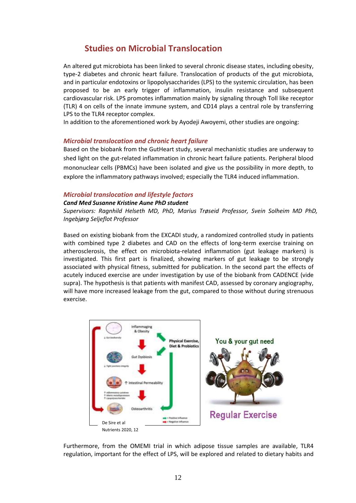### **Studies on Microbial Translocation**

An altered gut microbiota has been linked to several chronic disease states, including obesity, type-2 diabetes and chronic heart failure. Translocation of products of the gut microbiota, and in particular endotoxins or lipopolysaccharides (LPS) to the systemic circulation, has been proposed to be an early trigger of inflammation, insulin resistance and subsequent cardiovascular risk. LPS promotes inflammation mainly by signaling through Toll like receptor (TLR) 4 on cells of the innate immune system, and CD14 plays a central role by transferring LPS to the TLR4 receptor complex.

In addition to the aforementioned work by Ayodeji Awoyemi, other studies are ongoing:

#### *Microbial translocation and chronic heart failure*

Based on the biobank from the GutHeart study, several mechanistic studies are underway to shed light on the gut-related inflammation in chronic heart failure patients. Peripheral blood mononuclear cells (PBMCs) have been isolated and give us the possibility in more depth, to explore the inflammatory pathways involved; especially the TLR4 induced inflammation.

#### *Microbial translocation and lifestyle factors*

#### *Cand Med Susanne Kristine Aune PhD student*

*Supervisors: Ragnhild Helseth MD, PhD, Marius Trøseid Professor, Svein Solheim MD PhD, Ingebjørg Seljeflot Professor* 

Based on existing biobank from the EXCADI study, a randomized controlled study in patients with combined type 2 diabetes and CAD on the effects of long-term exercise training on atherosclerosis, the effect on microbiota-related inflammation (gut leakage markers) is investigated. This first part is finalized, showing markers of gut leakage to be strongly associated with physical fitness, submitted for publication. In the second part the effects of acutely induced exercise are under investigation by use of the biobank from CADENCE (vide supra). The hypothesis is that patients with manifest CAD, assessed by coronary angiography, will have more increased leakage from the gut, compared to those without during strenuous exercise.



Furthermore, from the OMEMI trial in which adipose tissue samples are available, TLR4 regulation, important for the effect of LPS, will be explored and related to dietary habits and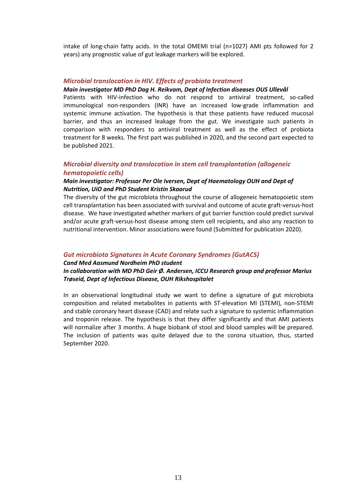intake of long-chain fatty acids. In the total OMEMI trial (n=1027) AMI pts followed for 2 years) any prognostic value of gut leakage markers will be explored.

#### *Microbial translocation in HIV. Effects of probiota treatment*

#### *Main investigator MD PhD Dag H. Reikvam, Dept of Infection diseases OUS Ullevål*

Patients with HIV-infection who do not respond to antiviral treatment, so-called immunological non-responders (INR) have an increased low-grade inflammation and systemic immune activation. The hypothesis is that these patients have reduced mucosal barrier, and thus an increased leakage from the gut. We investigate such patients in comparison with responders to antiviral treatment as well as the effect of probiota treatment for 8 weeks. The first part was published in 2020, and the second part expected to be published 2021.

#### *Microbial diversity and translocation in stem cell transplantation (allogeneic hematopoietic cells)*

#### *Main investigator: Professor Per Ole Iversen, Dept of Haematology OUH and Dept of Nutrition, UiO and PhD Student Kristin Skaarud*

The diversity of the gut microbiota throughout the course of allogeneic hematopoietic stem cell transplantation has been associated with survival and outcome of acute graft-versus-host disease. We have investigated whether markers of gut barrier function could predict survival and/or acute graft-versus-host disease among stem cell recipients, and also any reaction to nutritional intervention. Minor associations were found (Submitted for publication 2020).

#### *Gut microbiota Signatures in Acute Coronary Syndromes (GutACS)*

#### *Cand Med Aasmund Nordheim PhD student In collaboration with MD PhD Geir Ø. Andersen, ICCU Research group and professor Marius Trøseid, Dept of Infectious Disease, OUH Rikshospitalet*

In an observational longitudinal study we want to define a signature of gut microbiota composition and related metabolites in patients with ST-elevation MI (STEMI), non-STEMI and stable coronary heart disease (CAD) and relate such a signature to systemic inflammation and troponin release. The hypothesis is that they differ significantly and that AMI patients will normalize after 3 months. A huge biobank of stool and blood samples will be prepared. The inclusion of patients was quite delayed due to the corona situation, thus, started September 2020.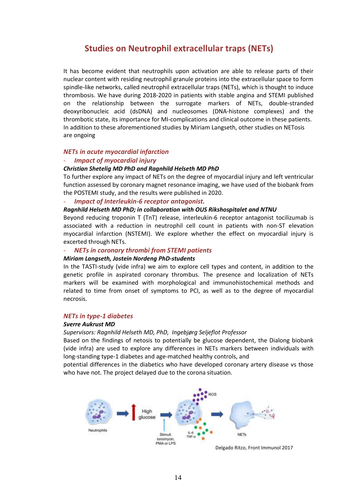### **Studies on Neutrophil extracellular traps (NETs)**

It has become evident that neutrophils upon activation are able to release parts of their nuclear content with residing neutrophil granule proteins into the extracellular space to form spindle-like networks, called neutrophil extracellular traps (NETs), which is thought to induce thrombosis. We have during 2018-2020 in patients with stable angina and STEMI published on the relationship between the surrogate markers of NETs, double-stranded deoxyribonucleic acid (dsDNA) and nucleosomes (DNA-histone complexes) and the thrombotic state, its importance for MI-complications and clinical outcome in these patients. In addition to these aforementioned studies by Miriam Langseth, other studies on NETosis are ongoing

#### *NETs in acute myocardial infarction*

#### - *Impact of myocardial injury*

#### *Christian Shetelig MD PhD and Ragnhild Helseth MD PhD*

To further explore any impact of NETs on the degree of myocardial injury and left ventricular function assessed by coronary magnet resonance imaging, we have used of the biobank from the POSTEMI study, and the results were published in 2020.

#### - *Impact of Interleukin-6 receptor antagonist.*

#### *Ragnhild Helseth MD PhD; in collaboration with OUS Rikshospitalet and NTNU*

Beyond reducing troponin T (TnT) release, interleukin-6 receptor antagonist tocilizumab is associated with a reduction in neutrophil cell count in patients with non-ST elevation myocardial infarction (NSTEMI). We explore whether the effect on myocardial injury is excerted through NETs.

#### - *NETs in coronary thrombi from STEMI patients*

#### *Miriam Langseth, Jostein Nordeng PhD-students*

In the TASTI-study (vide infra) we aim to explore cell types and content, in addition to the genetic profile in aspirated coronary thrombus. The presence and localization of NETs markers will be examined with morphological and immunohistochemical methods and related to time from onset of symptoms to PCI, as well as to the degree of myocardial necrosis.

#### *NETs in type-1 diabetes*

#### *Sverre Aukrust MD*

#### *Supervisors: Ragnhild Helseth MD, PhD, Ingebjørg Seljeflot Professor*

Based on the findings of netosis to potentially be glucose dependent, the Dialong biobank (vide infra) are used to explore any differences in NETs markers between individuals with long-standing type-1 diabetes and age-matched healthy controls, and

potential differences in the diabetics who have developed coronary artery disease vs those who have not. The project delayed due to the corona situation.



Delgado Ritzo, Front Immunol 2017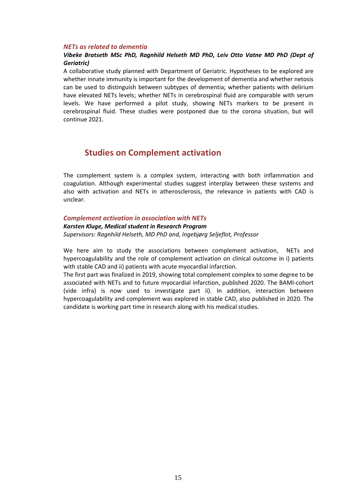#### *NETs as related to dementia*

#### *Vibeke Bratseth MSc PhD, Ragnhild Helseth MD PhD, Leiv Otto Vatne MD PhD (Dept of Geriatric)*

A collaborative study planned with Department of Geriatric. Hypotheses to be explored are whether innate immunity is important for the development of dementia and whether netosis can be used to distinguish between subtypes of dementia; whether patients with delirium have elevated NETs levels; whether NETs in cerebrospinal fluid are comparable with serum levels. We have performed a pilot study, showing NETs markers to be present in cerebrospinal fluid. These studies were postponed due to the corona situation, but will continue 2021.

### **Studies on Complement activation**

The complement system is a complex system, interacting with both inflammation and coagulation. Although experimental studies suggest interplay between these systems and also with activation and NETs in atherosclerosis, the relevance in patients with CAD is unclear.

*Complement activation in association with NETs*

*Karsten Kluge, Medical student in Research Program Supervisors: Ragnhild Helseth, MD PhD and, Ingebjørg Seljeflot, Professor* 

We here aim to study the associations between complement activation, NETs and hypercoagulability and the role of complement activation on clinical outcome in i) patients with stable CAD and ii) patients with acute myocardial infarction.

The first part was finalized in 2019, showing total complement complex to some degree to be associated with NETs and to future myocardial infarction, published 2020. The BAMI-cohort (vide infra) is now used to investigate part ii). In addition, interaction between hypercoagulability and complement was explored in stable CAD, also published in 2020. The candidate is working part time in research along with his medical studies.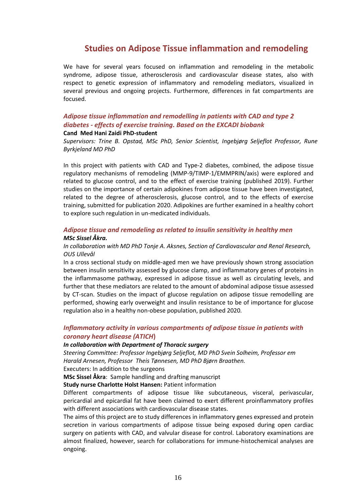### **Studies on Adipose Tissue inflammation and remodeling**

We have for several years focused on inflammation and remodeling in the metabolic syndrome, adipose tissue, atherosclerosis and cardiovascular disease states, also with respect to genetic expression of inflammatory and remodeling mediators, visualized in several previous and ongoing projects. Furthermore, differences in fat compartments are focused.

#### *Adipose tissue inflammation and remodelling in patients with CAD and type 2 diabetes - effects of exercise training. Based on the EXCADI biobank* **Cand Med Hani Zaidi PhD-student**

*Supervisors: Trine B. Opstad, MSc PhD, Senior Scientist, Ingebjørg Seljeflot Professor, Rune Byrkjeland MD PhD* 

In this project with patients with CAD and Type-2 diabetes, combined, the adipose tissue regulatory mechanisms of remodeling (MMP-9/TIMP-1/EMMPRIN/axis) were explored and related to glucose control, and to the effect of exercise training (published 2019). Further studies on the importance of certain adipokines from adipose tissue have been investigated, related to the degree of atherosclerosis, glucose control, and to the effects of exercise training, submitted for publication 2020. Adipokines are further examined in a healthy cohort to explore such regulation in un-medicated individuals.

#### *Adipose tissue and remodeling as related to insulin sensitivity in healthy men MSc Sissel Åkra.*

#### *In collaboration with MD PhD Tonje A. Aksnes, Section of Cardiovascular and Renal Research, OUS Ullevål*

In a cross sectional study on middle-aged men we have previously shown strong association between insulin sensitivity assessed by glucose clamp, and inflammatory genes of proteins in the inflammasome pathway, expressed in adipose tissue as well as circulating levels, and further that these mediators are related to the amount of abdominal adipose tissue assessed by CT-scan. Studies on the impact of glucose regulation on adipose tissue remodelling are performed, showing early overweight and insulin resistance to be of importance for glucose regulation also in a healthy non-obese population, published 2020*.*

#### *Inflammatory activity in various compartments of adipose tissue in patients with coronary heart disease (ATICH***)**

#### *In collaboration with Department of Thoracic surgery*

*Steering Committee: Professor Ingebjørg Seljeflot, MD PhD Svein Solheim, Professor em Harald Arnesen, Professor Theis Tønnesen, MD PhD Bjørn Braathen.*

#### Executers: In addition to the surgeons

**MSc Sissel Åkra**: Sample handling and drafting manuscript

**Study nurse Charlotte Holst Hansen:** Patient information

Different compartments of adipose tissue like subcutaneous, visceral, perivascular, pericardial and epicardial fat have been claimed to exert different proinflammatory profiles with different associations with cardiovascular disease states.

The aims of this project are to study differences in inflammatory genes expressed and protein secretion in various compartments of adipose tissue being exposed during open cardiac surgery on patients with CAD, and valvular disease for control. Laboratory examinations are almost finalized, however, search for collaborations for immune-histochemical analyses are ongoing.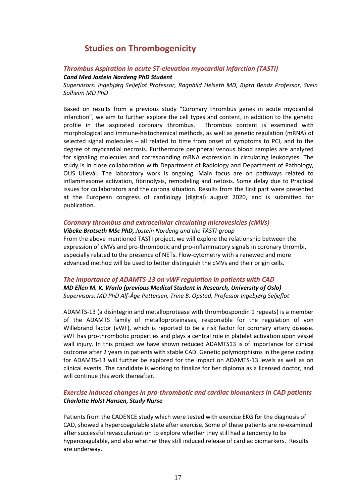## **Studies on Thrombogenicity**

### *Thrombus Aspiration in acute ST-elevation myocardial Infarction (TASTI)*

*Cand Med Jostein Nordeng PhD Student*

*Supervisors: Ingebjørg Seljeflot Professor, Ragnhild Helseth MD, Bjørn Bendz Professor, Svein Solheim MD PhD* 

Based on results from a previous study "Coronary thrombus genes in acute myocardial infarction", we aim to further explore the cell types and content, in addition to the genetic profile in the aspirated coronary thrombus. Thrombus content is examined with morphological and immune-histochemical methods, as well as genetic regulation (mRNA) of selected signal molecules – all related to time from onset of symptoms to PCI, and to the degree of myocardial necrosis. Furthermore peripheral venous blood samples are analyzed for signaling molecules and corresponding mRNA expression in circulating leukocytes. The study is in close collaboration with Department of Radiology and Department of Pathology, OUS Ullevål. The laboratory work is ongoing. Main focus are on pathways related to inflammasome activation, fibrinolysis, remodeling and netosis. Some delay due to Practical issues for collaborators and the corona situation. Results from the first part were presented at the European congress of cardiology (digital) august 2020, and is submitted for publication.

#### *Coronary thrombus and extracellular circulating microvesicles (cMVs)*

*Vibeke Bratseth MSc PhD, Jostein Nordeng and the TASTI-group* From the above mentioned TASTI project, we will explore the relationship between the expression of cMVs and pro-thrombotic and pro-inflammatory signals in coronary thrombi, especially related to the presence of NETs. Flow-cytometry with a renewed and more

advanced method will be used to better distinguish the cMVs and their origin cells.

#### *The importance of ADAMTS-13 on vWF regulation in patients with CAD*

*MD Ellen M. K. Warlo (previous Medical Student in Research, University of Oslo) Supervisors: MD PhD Alf-Åge Pettersen, Trine B. Opstad, Professor Ingebjørg Seljeflot*

ADAMTS-13 (a disintegrin and metalloprotease with thrombospondin 1 repeats) is a member of the ADAMTS family of metalloproteinases, responsible for the regulation of von Willebrand factor (vWF), which is reported to be a risk factor for coronary artery disease. vWF has pro-thrombotic properties and plays a central role in platelet activation upon vessel wall injury. In this project we have shown reduced ADAMTS13 is of importance for clinical outcome after 2 years in patients with stable CAD. Genetic polymorphisms in the gene coding for ADAMTS-13 will further be explored for the impact on ADAMTS-13 levels as well as on clinical events. The candidate is working to finalize for her diploma as a licensed doctor, and will continue this work thereafter.

#### *Exercise induced changes in pro-thrombotic and cardiac biomarkers in CAD patients Charlotte Holst Hansen, Study Nurse*

Patients from the CADENCE study which were tested with exercise EKG for the diagnosis of CAD, showed a hypercoagulable state after exercise. Some of these patients are re-examined after successful revascularization to explore whether they still had a tendency to be hypercoagulable, and also whether they still induced release of cardiac biomarkers. Results are underway.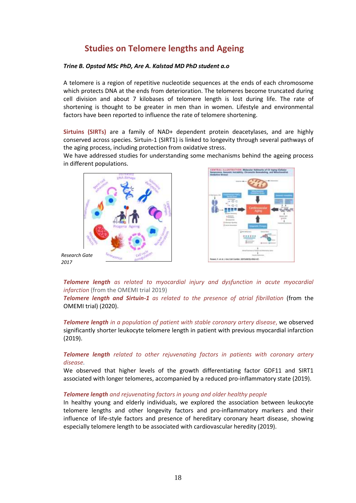## **Studies on Telomere lengths and Ageing**

#### *Trine B. Opstad MSc PhD, Are A. Kalstad MD PhD student a.o*

A telomere is a region of repetitive nucleotide sequences at the ends of each chromosome which protects DNA at the ends from deterioration. The telomeres become truncated during cell division and about 7 kilobases of telomere length is lost during life. The rate of shortening is thought to be greater in men than in women. Lifestyle and environmental factors have been reported to influence the rate of telomere shortening.

**Sirtuins (SIRTs)** are a family of NAD+ dependent protein deacetylases, and are highly conserved across species. Sirtuin-1 (SIRT1) is linked to longevity through several pathways of the aging process, including protection from oxidative stress.

We have addressed studies for understanding some mechanisms behind the ageing process in different populations.



*2017*



*Telomere length as related to myocardial injury and dysfunction in acute myocardial infarction* (from the OMEMI trial 2019)

*Telomere length and Sirtuin-1 as related to the presence of atrial fibrillation* (from the OMEMI trial) (2020).

*Telomere length in a population of patient with stable coronary artery disease*, we observed significantly shorter leukocyte telomere length in patient with previous myocardial infarction (2019).

#### *Telomere length related to other rejuvenating factors in patients with coronary artery disease.*

We observed that higher levels of the growth differentiating factor GDF11 and SIRT1 associated with longer telomeres, accompanied by a reduced pro-inflammatory state (2019).

#### *Telomere length and rejuvenating factors in young and older healthy people*

In healthy young and elderly individuals, we explored the association between leukocyte telomere lengths and other longevity factors and pro-inflammatory markers and their influence of life-style factors and presence of hereditary coronary heart disease, showing especially telomere length to be associated with cardiovascular heredity (2019).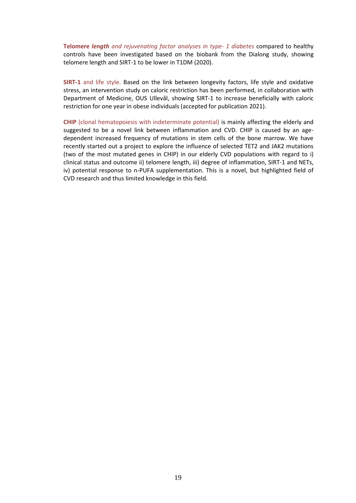**Telomere** *length and rejuvenating factor analyses in type- 1 diabetes* compared to healthy controls have been investigated based on the biobank from the Dialong study, showing telomere length and SIRT-1 to be lower in T1DM (2020).

**SIRT-1** and life style. Based on the link between longevity factors, life style and oxidative stress, an intervention study on caloric restriction has been performed, in collaboration with Department of Medicine, OUS Ullevål, showing SIRT-1 to increase beneficially with caloric restriction for one year in obese individuals (accepted for publication 2021).

**CHIP** (clonal hematopoiesis with indeterminate potential) is mainly affecting the elderly and suggested to be a novel link between inflammation and CVD. CHIP is caused by an agedependent increased frequency of mutations in stem cells of the bone marrow. We have recently started out a project to explore the influence of selected TET2 and JAK2 mutations (two of the most mutated genes in CHIP) in our elderly CVD populations with regard to i) clinical status and outcome ii) telomere length, iii) degree of inflammation, SIRT-1 and NETs, iv) potential response to n-PUFA supplementation. This is a novel, but highlighted field of CVD research and thus limited knowledge in this field.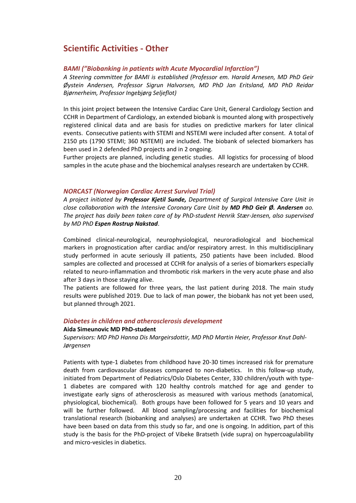## **Scientific Activities - Other**

#### *BAMI ("Biobanking in patients with Acute Myocardial Infarction")*

*A Steering committee for BAMI is established (Professor em. Harald Arnesen, MD PhD Geir Øystein Andersen, Professor Sigrun Halvorsen, MD PhD Jan Eritsland, MD PhD Reidar Bjørnerheim, Professor Ingebjørg Seljeflot)* 

In this joint project between the Intensive Cardiac Care Unit, General Cardiology Section and CCHR in Department of Cardiology, an extended biobank is mounted along with prospectively registered clinical data and are basis for studies on predictive markers for later clinical events. Consecutive patients with STEMI and NSTEMI were included after consent. A total of 2150 pts (1790 STEMI; 360 NSTEMI) are included. The biobank of selected biomarkers has been used in 2 defended PhD projects and in 2 ongoing.

Further projects are planned, including genetic studies. All logistics for processing of blood samples in the acute phase and the biochemical analyses research are undertaken by CCHR.

#### *NORCAST (Norwegian Cardiac Arrest Survival Trial)*

*A project initiated by Professor Kjetil Sunde, Department of Surgical Intensive Care Unit in close collaboration with the Intensive Coronary Care Unit by MD PhD Geir Ø. Andersen ao. The project has daily been taken care of by PhD-student Henrik Stær-Jensen, also supervised by MD PhD Espen Rostrup Nakstad*.

Combined clinical-neurological, neurophysiological, neuroradiological and biochemical markers in prognostication after cardiac and/or respiratory arrest. In this multidisciplinary study performed in acute seriously ill patients, 250 patients have been included. Blood samples are collected and processed at CCHR for analysis of a series of biomarkers especially related to neuro-inflammation and thrombotic risk markers in the very acute phase and also after 3 days in those staying alive.

The patients are followed for three years, the last patient during 2018. The main study results were published 2019. Due to lack of man power, the biobank has not yet been used, but planned through 2021.

#### *Diabetes in children and atherosclerosis development*

#### **Aida Simeunovic MD PhD-student**

*Supervisors: MD PhD Hanna Dis Margeirsdottir, MD PhD Martin Heier, Professor Knut Dahl-Jørgensen*

Patients with type-1 diabetes from childhood have 20-30 times increased risk for premature death from cardiovascular diseases compared to non-diabetics. In this follow-up study, initiated from Department of Pediatrics/Oslo Diabetes Center, 330 children/youth with type-1 diabetes are compared with 120 healthy controls matched for age and gender to investigate early signs of atherosclerosis as measured with various methods (anatomical, physiological, biochemical). Both groups have been followed for 5 years and 10 years and will be further followed. All blood sampling/processing and facilities for biochemical translational research (biobanking and analyses) are undertaken at CCHR. Two PhD theses have been based on data from this study so far, and one is ongoing. In addition, part of this study is the basis for the PhD-project of Vibeke Bratseth (vide supra) on hypercoagulability and micro-vesicles in diabetics.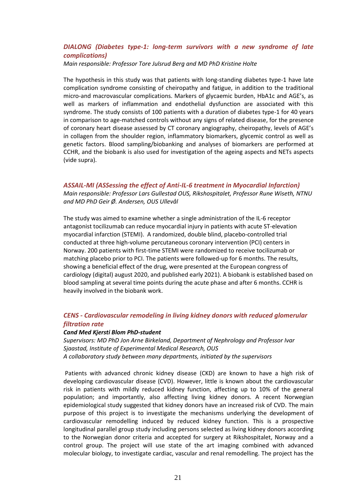#### *DIALONG (Diabetes type-1: long-term survivors with a new syndrome of late complications)*

*Main responsible: Professor Tore Julsrud Berg and MD PhD Kristine Holte*

The hypothesis in this study was that patients with long-standing diabetes type-1 have late complication syndrome consisting of cheiropathy and fatigue, in addition to the traditional micro-and macrovascular complications. Markers of glycaemic burden, HbA1c and AGE's, as well as markers of inflammation and endothelial dysfunction are associated with this syndrome. The study consists of 100 patients with a duration of diabetes type-1 for 40 years in comparison to age-matched controls without any signs of related disease, for the presence of coronary heart disease assessed by CT coronary angiography, cheiropathy, levels of AGE's in collagen from the shoulder region, inflammatory biomarkers, glycemic control as well as genetic factors. Blood sampling/biobanking and analyses of biomarkers are performed at CCHR, and the biobank is also used for investigation of the ageing aspects and NETs aspects (vide supra).

#### *ASSAIL-MI (ASSessing the effect of Anti-IL-6 treatment in Myocardial Infarction)*

*Main responsible: Professor Lars Gullestad OUS, Rikshospitalet, Professor Rune Wiseth, NTNU and MD PhD Geir Ø. Andersen, OUS Ullevål*

The study was aimed to examine whether a single administration of the IL-6 receptor antagonist tocilizumab can reduce myocardial injury in patients with acute ST-elevation myocardial infarction (STEMI). A randomized, double blind, placebo-controlled trial conducted at three high-volume percutaneous coronary intervention (PCI) centers in Norway. 200 patients with first-time STEMI were randomized to receive tocilizumab or matching placebo prior to PCI. The patients were followed-up for 6 months. The results, showing a beneficial effect of the drug, were presented at the European congress of cardiology (digital) august 2020, and published early 2021). A biobank is established based on blood sampling at several time points during the acute phase and after 6 months. CCHR is heavily involved in the biobank work.

#### *CENS - Cardiovascular remodeling in living kidney donors with reduced glomerular filtration rate*

#### *Cand Med Kjersti Blom PhD-student*

*Supervisors: MD PhD Jon Arne Birkeland, Department of Nephrology and Professor Ivar Sjaastad, Institute of Experimental Medical Research, OUS A collaboratory study between many departments, initiated by the supervisors* 

Patients with advanced chronic kidney disease (CKD) are known to have a high risk of developing cardiovascular disease (CVD). However, little is known about the cardiovascular risk in patients with mildly reduced kidney function, affecting up to 10% of the general population; and importantly, also affecting living kidney donors. A recent Norwegian epidemiological study suggested that kidney donors have an increased risk of CVD. The main purpose of this project is to investigate the mechanisms underlying the development of cardiovascular remodelling induced by reduced kidney function. This is a prospective longitudinal parallel group study including persons selected as living kidney donors according to the Norwegian donor criteria and accepted for surgery at Rikshospitalet, Norway and a control group. The project will use state of the art imaging combined with advanced molecular biology, to investigate cardiac, vascular and renal remodelling. The project has the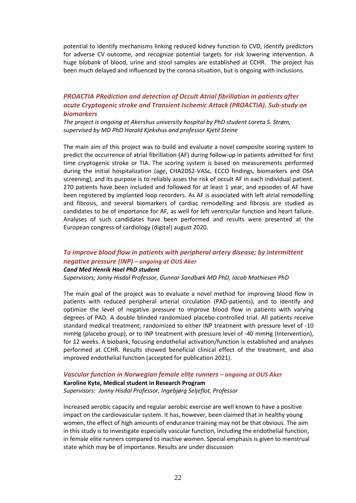potential to identify mechanisms linking reduced kidney function to CVD, identify predictors for adverse CV outcome, and recognize potential targets for risk lowering intervention. A huge biobank of blood, urine and stool samples are established at CCHR. The project has been much delayed and influenced by the corona situation, but is ongoing with inclusions.

#### *PROACTIA PRediction and detection of Occult Atrial fibrillation in patients after acute Cryptogenic stroke and Transient Ischemic Attack (PROACTIA). Sub-study on biomarkers*

*The project is ongoing at Akershus university hospital by PhD student Loreta S. Strøm, supervised by MD PhD Harald Kjekshus and professor Kjetil Steine*

The main aim of this project was to build and evaluate a novel composite scoring system to predict the occurrence of atrial fibrillation (AF) during follow-up in patients admitted for first time cryptogenic stroke or TIA. The scoring system is based on measurements performed during the initial hospitalization (age, CHA2DS2-VASc, ECCO findings, biomarkers and OSA screening), and its purpose is to reliably asses the risk of occult AF in each individual patient. 270 patients have been included and followed for at least 1 year, and episodes of AF have been registered by implanted loop recorders. As AF is associated with left atrial remodelling and fibrosis, and several biomarkers of cardiac remodelling and fibrosis are studied as candidates to be of importance for AF, as well for left ventricular function and heart failure. Analyses of such candidates have been performed and results were presented at the European congress of cardiology (digital) august 2020.

#### *To improve blood flow in patients with peripheral artery disease; by intermittent negative pressure (INP) – ongoing at OUS Aker Cand Med Henrik Hoel PhD student*

*Supervisors; Jonny Hisdal Professor, Gunnar Sandbæk MD PhD, Iacob Mathiesen PhD*

The main goal of the project was to evaluate a novel method for improving blood flow in patients with reduced peripheral arterial circulation (PAD-patients), and to identify and optimize the level of negative pressure to improve blood flow in patients with varying degrees of PAD. A double blinded randomized placebo-controlled trial. All patients receive standard medical treatment; randomized to either INP treatment with pressure level of -10 mmHg (placebo group), or to INP treatment with pressure level of -40 mmHg (Intervention), for 12 weeks. A biobank, focusing endothelial activation/function is established and analyses performed at CCHR. Results showed beneficial clinical effect of the treatment, and also improved endothelial function (accepted for publication 2021).

#### *Vascular function in Norwegian female elite runners – ongoing at OUS Aker*

**Karoline Kyte, Medical student in Research Program**  *Supervisors: Jonny Hisdal Professor, Ingebjørg Seljeflot, Professor*

Increased aerobic capacity and regular aerobic exercise are well known to have a positive impact on the cardiovascular system. It has, however, been claimed that in healthy young women, the effect of high amounts of endurance training may not be that obvious. The aim in this study is to investigate especially vascular function, including the endothelial function, in female elite runners compared to inactive women. Special emphasis is given to menstrual state which may be of importance. Results are under discussion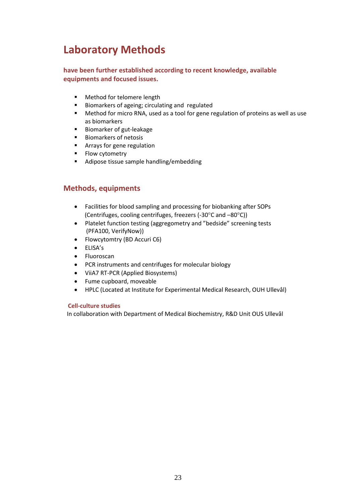## **Laboratory Methods**

#### **have been further established according to recent knowledge, available equipments and focused issues.**

- **Nethod for telomere length**
- Biomarkers of ageing; circulating and regulated
- Method for micro RNA, used as a tool for gene regulation of proteins as well as use as biomarkers
- **Biomarker of gut-leakage**
- **Biomarkers of netosis**
- **Arrays for gene regulation**
- **Flow cytometry**
- **Adipose tissue sample handling/embedding**

### **Methods, equipments**

- Facilities for blood sampling and processing for biobanking after SOPs (Centrifuges, cooling centrifuges, freezers (-30 $\degree$ C and  $-80\degree$ C))
- Platelet function testing (aggregometry and "bedside" screening tests (PFA100, VerifyNow))
- Flowcytomtry (BD Accuri C6)
- ELISA's
- Fluoroscan
- PCR instruments and centrifuges for molecular biology
- ViiA7 RT-PCR (Applied Biosystems)
- Fume cupboard, moveable
- HPLC (Located at Institute for Experimental Medical Research, OUH Ullevål)

#### **Cell-culture studies**

In collaboration with Department of Medical Biochemistry, R&D Unit OUS Ullevål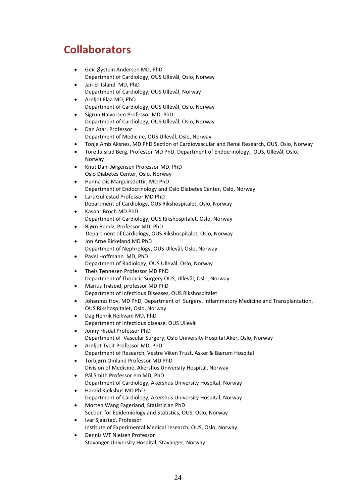## **Collaborators**

- Geir Øystein Andersen MD, PhD Department of Cardiology, OUS Ullevål, Oslo, Norway
- Jan Eritsland MD, PhD Department of Cardiology, OUS Ullevål, Norway
- Arnljot Flaa MD, PhD Department of Cardiology, OUS Ullevål, Oslo, Norway
- Sigrun Halvorsen Professor MD, PhD Department of Cardiology, OUS Ullevål, Oslo, Norway
- Dan Atar, Professor Department of Medicine, OUS Ullevål, Oslo, Norway
- Tonje Amb Aksnes, MD PhD Section of Cardiovascular and Renal Research, OUS, Oslo, Norway
- Tore Julsrud Berg, Professor MD PhD, Department of Endocrinology, OUS, Ullevål, Oslo, Norway
- Knut Dahl Jørgensen Professor MD, PhD Oslo Diabetes Center, Oslo, Norway
- Hanna Dis Margeirsdottir, MD PhD Department of Endocrinology and Oslo Diabetes Center, Oslo, Norway
- Lars Gullestad Professor MD PhD Department of Cardiology, OUS Rikshospitalet, Oslo, Norway
- Kaspar Broch MD PhD Department of Cardiology, OUS Rikshospitalet, Oslo, Norway
- Bjørn Bendz, Professor MD, PhD Department of Cardiology, OUS Rikshospitalet, Oslo, Norway
- Jon Arne Birkeland MD PhD Department of Nephrology, OUS Ullevål, Oslo, Norway
- Pavel Hoffmann MD, PhD Department of Radiology, OUS Ullevål, Oslo, Norway
- Theis Tønnesen Professor MD PhD Department of Thoracic Surgery OUS, Ullevål, Oslo, Norway
- Marius Trøseid, professor MD PhD Department of Infectious Diseases, OUS Rikshospitalet
- Johannes Hov, MD PhD, Department of Surgery, Inflammatory Medicine and Transplantation, OUS Rikshospitalet, Oslo, Norway
- Dag Henrik Reikvam MD, PhD Department of Infectious disease, OUS Ullevål
- Jonny Hisdal Professor PhD Department of Vascular Surgery, Oslo University Hospital Aker, Oslo, Norway Arnljot Tveit Professor MD, PhD
- Department of Research, Vestre Viken Trust, Asker & Bærum Hospital
- Torbjørn Omland Professor MD PhD Division of Medicine, Akershus University Hospital, Norway
- Pål Smith Professor em MD, PhD Department of Cardiology, Akershus University Hospital, Norway
- Harald Kjekshus MD PhD Department of Cardiology, Akershus University Hospital, Norway
- Morten Wang Fagerland, Statistician PhD Section for Epidemiology and Statistics, OUS, Oslo, Norway
- Ivar Sjaastad, Professor Institute of Experimental Medical research, OUS, Oslo, Norway
- Dennis WT Nielsen Professor Stavanger University Hospital, Stavanger, Norway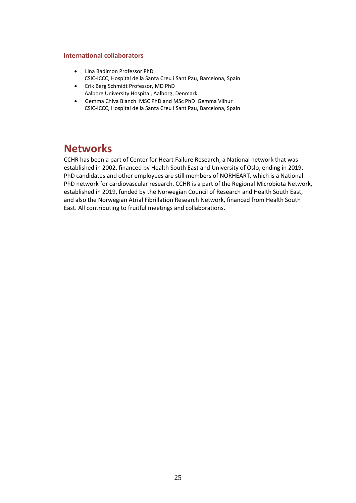#### **International collaborators**

- Lina Badimon Professor PhD CSIC-ICCC, Hospital de la Santa Creu i Sant Pau, Barcelona, Spain
- Erik Berg Schmidt Professor, MD PhD Aalborg University Hospital, Aalborg, Denmark
- Gemma Chiva Blanch MSC PhD and MSc PhD Gemma Vilhur CSIC-ICCC, Hospital de la Santa Creu i Sant Pau, Barcelona, Spain

## **Networks**

CCHR has been a part of Center for Heart Failure Research, a National network that was established in 2002, financed by Health South East and University of Oslo, ending in 2019. PhD candidates and other employees are still members of NORHEART, which is a National PhD network for cardiovascular research. CCHR is a part of the Regional Microbiota Network, established in 2019, funded by the Norwegian Council of Research and Health South East, and also the Norwegian Atrial Fibrillation Research Network, financed from Health South East. All contributing to fruitful meetings and collaborations.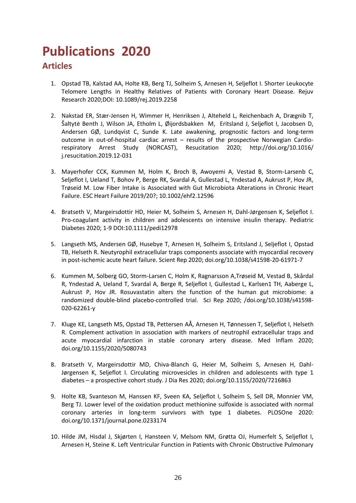# **Publications 2020**

## **Articles**

- 1. Opstad TB, Kalstad AA, Holte KB, Berg TJ, Solheim S, Arnesen H, Seljeflot I. Shorter Leukocyte Telomere Lengths in Healthy Relatives of Patients with Coronary Heart Disease. Rejuv Research 2020;DOI: 10.1089/rej.2019.2258
- 2. Nakstad ER, Stær-Jensen H, Wimmer H, Henriksen J, Alteheld L, Reichenbach A, Drægnib T, Šaltytė Benth J, Wilson JA, Etholm L, Øijordsbakken M, Eritsland J, Seljeflot I, Jacobsen D, Andersen GØ, Lundqvist C, Sunde K. Late awakening, prognostic factors and long-term outcome in out-of-hospital cardiac arrest – results of the prospective Norwegian Cardiorespiratory Arrest Study (NORCAST), Resucitation 2020; [http://doi.org/10.1016/](http://doi.org/10.1016/%20j.resucitation.2019.12-031)  [j.resucitation.2019.12-031](http://doi.org/10.1016/%20j.resucitation.2019.12-031)
- 3. Mayerhofer CCK, Kummen M, Holm K, Broch B, Awoyemi A, Vestad B, Storm-Larsenb C, Seljeflot I, Ueland T, Bohov P, Berge RK, Svardal A, Gullestad L, Yndestad A, Aukrust P, Hov JR, Trøseid M. Low Fiber Intake is Associated with Gut Microbiota Alterations in Chronic Heart Failure. ESC Heart Failure 2019/20?; 10.1002/ehf2.12596
- 4. Bratseth V, Margeirsdottir HD, Heier M, Solheim S, Arnesen H, Dahl-Jørgensen K, Seljeflot I. Pro-coagulant activity in children and adolescents on intensive insulin therapy. Pediatric Diabetes 2020; 1-9 DOI:10.1111/pedi12978
- 5. Langseth MS, Andersen GØ, Husebye T, Arnesen H, Solheim S, Eritsland J, Seljeflot I, Opstad TB, Helseth R. Neutyrophil extracellular traps components associate with myocardial recovery in post-ischemic acute heart failure. Scient Rep 2020; doi.org/10.1038/s41598-20-61971-7
- 6. Kummen M, Solberg GO, Storm-Larsen C, Holm K, Ragnarsson A,Trøseid M, Vestad B, Skårdal R, Yndestad A, Ueland T, Svardal A, Berge R, Seljeflot I, Gullestad L, Karlsen1 TH, Aaberge L, Aukrust P, Hov JR. Rosuvastatin alters the function of the human gut microbiome: a randomized double-blind placebo-controlled trial. Sci Rep 2020; /doi.org/10.1038/s41598- 020-62261-y
- 7. Kluge KE, Langseth MS, Opstad TB, Pettersen AÅ, Arnesen H, Tønnessen T, Seljeflot I, Helseth R. Complement activation in association with markers of neutrophil extracellular traps and acute myocardial infarction in stable coronary artery disease. Med Inflam 2020; doi.org/10.1155/2020/5080743
- 8. Bratseth V, Margeirsdottir MD, Chiva-Blanch G, Heier M, Solheim S, Arnesen H, Dahl-Jørgensen K, Seljeflot I. Circulating microvesicles in children and adolescents with type 1 diabetes – a prospective cohort study. J Dia Res 2020; doi.org/10.1155/2020/7216863
- 9. Holte KB, Svanteson M, Hanssen KF, Sveen KA, Seljeflot I, Solheim S, Sell DR, Monnier VM, Berg TJ. Lower level of the oxidation product methionine sulfoxide is associated with normal coronary arteries in long-term survivors with type 1 diabetes. PLOSOne 2020: doi.org/10.1371/journal.pone.0233174
- 10. Hilde JM, Hisdal J, Skjørten I, Hansteen V, Melsom NM, Grøtta OJ, Humerfelt S, Seljeflot I, Arnesen H, Steine K. Left Ventricular Function in Patients with Chronic Obstructive Pulmonary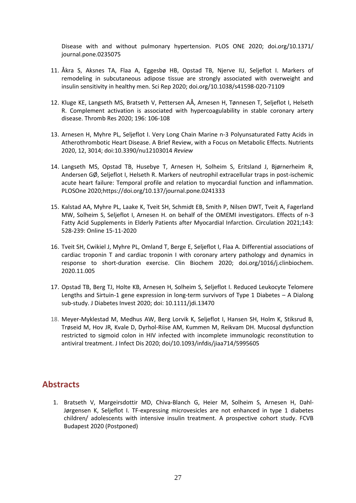Disease with and without pulmonary hypertension. PLOS ONE 2020; doi.org/10.1371/ journal.pone.0235075

- 11. Åkra S, Aksnes TA, Flaa A, Eggesbø HB, Opstad TB, Njerve IU, Seljeflot I. Markers of remodeling in subcutaneous adipose tissue are strongly associated with overweight and insulin sensitivity in healthy men. Sci Rep 2020; doi.org/10.1038/s41598-020-71109
- 12. Kluge KE, Langseth MS, Bratseth V, Pettersen AÅ, Arnesen H, Tønnesen T, Seljeflot I, Helseth R. Complement activation is associated with hypercoagulability in stable coronary artery disease. Thromb Res 2020; 196: 106-108
- 13. Arnesen H, Myhre PL, Seljeflot I. Very Long Chain Marine n-3 Polyunsaturated Fatty Acids in Atherothrombotic Heart Disease. A Brief Review, with a Focus on Metabolic Effects. Nutrients 2020, 12, 3014; doi:10.3390/nu12103014 *Review*
- 14. Langseth MS, Opstad TB, Husebye T, Arnesen H, Solheim S, Eritsland J, Bjørnerheim R, Andersen GØ, Seljeflot I, Helseth R. Markers of neutrophil extracellular traps in post-ischemic acute heart failure: Temporal profile and relation to myocardial function and inflammation. PLOSOne 2020;https://doi.org/10.137/journal.pone.0241333
- 15. Kalstad AA, Myhre PL, Laake K, Tveit SH, Schmidt EB, Smith P, Nilsen DWT, Tveit A, Fagerland MW, Solheim S, Seljeflot I, Arnesen H. on behalf of the OMEMI investigators. Effects of n-3 Fatty Acid Supplements in Elderly Patients after Myocardial Infarction. Circulation 2021;143: 528-239: Online 15-11-2020
- 16. Tveit SH, Cwikiel J, Myhre PL, Omland T, Berge E, Seljeflot I, Flaa A. Differential associations of cardiac troponin T and cardiac troponin I with coronary artery pathology and dynamics in response to short-duration exercise. Clin Biochem 2020; doi.org/1016/j.clinbiochem. 2020.11.005
- 17. Opstad TB, Berg TJ, Holte KB, Arnesen H, Solheim S, Seljeflot I. Reduced Leukocyte Telomere Lengths and Sirtuin-1 gene expression in long-term survivors of Type 1 Diabetes – A Dialong sub-study. J Diabetes Invest 2020; doi: 10.1111/jdi.13470
- 18. Meyer-Myklestad M, Medhus AW, Berg Lorvik K, Seljeflot I, Hansen SH, Holm K, Stiksrud B, Trøseid M, Hov JR, Kvale D, Dyrhol-Riise AM, Kummen M, Reikvam DH. Mucosal dysfunction restricted to sigmoid colon in HIV infected with incomplete immunologic reconstitution to antiviral treatment. J Infect Dis 2020; doi/10.1093/infdis/jiaa714/5995605

## **Abstracts**

1. Bratseth V, Margeirsdottir MD, Chiva-Blanch G, Heier M, Solheim S, Arnesen H, Dahl-Jørgensen K, Seljeflot I. TF-expressing microvesicles are not enhanced in type 1 diabetes children/ adolescents with intensive insulin treatment. A prospective cohort study. FCVB Budapest 2020 (Postponed)